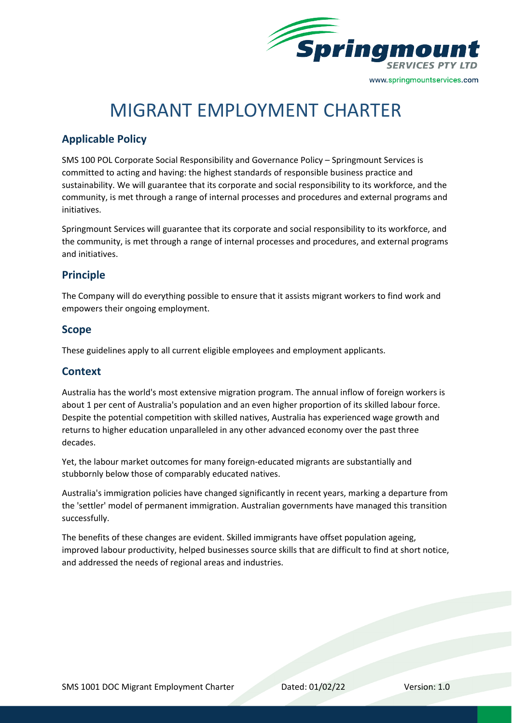

# MIGRANT EMPLOYMENT CHARTER

## **Applicable Policy**

SMS 100 POL Corporate Social Responsibility and Governance Policy – Springmount Services is committed to acting and having: the highest standards of responsible business practice and sustainability. We will guarantee that its corporate and social responsibility to its workforce, and the community, is met through a range of internal processes and procedures and external programs and initiatives.

Springmount Services will guarantee that its corporate and social responsibility to its workforce, and the community, is met through a range of internal processes and procedures, and external programs and initiatives.

#### **Principle**

The Company will do everything possible to ensure that it assists migrant workers to find work and empowers their ongoing employment.

#### **Scope**

These guidelines apply to all current eligible employees and employment applicants.

#### **Context**

Australia has the world's most extensive migration program. The annual inflow of foreign workers is about 1 per cent of Australia's population and an even higher proportion of its skilled labour force. Despite the potential competition with skilled natives, Australia has experienced wage growth and returns to higher education unparalleled in any other advanced economy over the past three decades.

Yet, the labour market outcomes for many foreign-educated migrants are substantially and stubbornly below those of comparably educated natives.

Australia's immigration policies have changed significantly in recent years, marking a departure from the 'settler' model of permanent immigration. Australian governments have managed this transition successfully.

The benefits of these changes are evident. Skilled immigrants have offset population ageing, improved labour productivity, helped businesses source skills that are difficult to find at short notice, and addressed the needs of regional areas and industries.